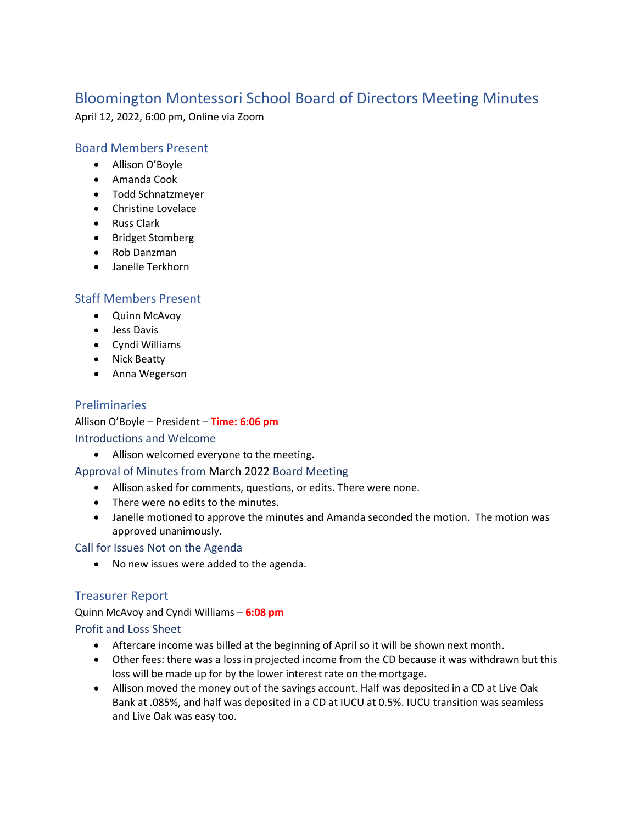# Bloomington Montessori School Board of Directors Meeting Minutes

April 12, 2022, 6:00 pm, Online via Zoom

# Board Members Present

- Allison O'Boyle
- Amanda Cook
- Todd Schnatzmeyer
- Christine Lovelace
- Russ Clark
- Bridget Stomberg
- Rob Danzman
- Janelle Terkhorn

# Staff Members Present

- Quinn McAvoy
- Jess Davis
- Cyndi Williams
- Nick Beatty
- Anna Wegerson

## Preliminaries

Allison O'Boyle – President – **Time: 6:06 pm** Introductions and Welcome

• Allison welcomed everyone to the meeting.

#### Approval of Minutes from March 2022 Board Meeting

- Allison asked for comments, questions, or edits. There were none.
- There were no edits to the minutes.
- Janelle motioned to approve the minutes and Amanda seconded the motion. The motion was approved unanimously.

Call for Issues Not on the Agenda

• No new issues were added to the agenda.

## Treasurer Report

Quinn McAvoy and Cyndi Williams – **6:08 pm** Profit and Loss Sheet

- Aftercare income was billed at the beginning of April so it will be shown next month.
- Other fees: there was a loss in projected income from the CD because it was withdrawn but this loss will be made up for by the lower interest rate on the mortgage.
- Allison moved the money out of the savings account. Half was deposited in a CD at Live Oak Bank at .085%, and half was deposited in a CD at IUCU at 0.5%. IUCU transition was seamless and Live Oak was easy too.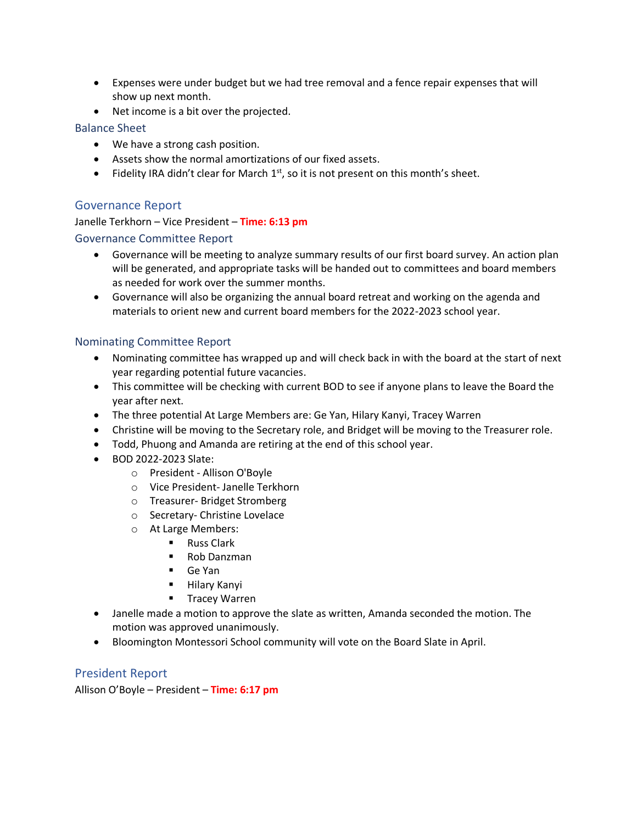- Expenses were under budget but we had tree removal and a fence repair expenses that will show up next month.
- Net income is a bit over the projected.

## Balance Sheet

- We have a strong cash position.
- Assets show the normal amortizations of our fixed assets.
- Fidelity IRA didn't clear for March  $1<sup>st</sup>$ , so it is not present on this month's sheet.

## Governance Report

# Janelle Terkhorn – Vice President – **Time: 6:13 pm** Governance Committee Report

- Governance will be meeting to analyze summary results of our first board survey. An action plan will be generated, and appropriate tasks will be handed out to committees and board members as needed for work over the summer months.
- Governance will also be organizing the annual board retreat and working on the agenda and materials to orient new and current board members for the 2022-2023 school year.

#### Nominating Committee Report

- Nominating committee has wrapped up and will check back in with the board at the start of next year regarding potential future vacancies.
- This committee will be checking with current BOD to see if anyone plans to leave the Board the year after next.
- The three potential At Large Members are: Ge Yan, Hilary Kanyi, Tracey Warren
- Christine will be moving to the Secretary role, and Bridget will be moving to the Treasurer role.
- Todd, Phuong and Amanda are retiring at the end of this school year.
- BOD 2022-2023 Slate:
	- o President Allison O'Boyle
	- o Vice President- Janelle Terkhorn
	- o Treasurer- Bridget Stromberg
	- o Secretary- Christine Lovelace
	- o At Large Members:
		- Russ Clark
			- Rob Danzman
			- Ge Yan
			- Hilary Kanyi
			- Tracey Warren
- Janelle made a motion to approve the slate as written, Amanda seconded the motion. The motion was approved unanimously.
- Bloomington Montessori School community will vote on the Board Slate in April.

## President Report

Allison O'Boyle – President – **Time: 6:17 pm**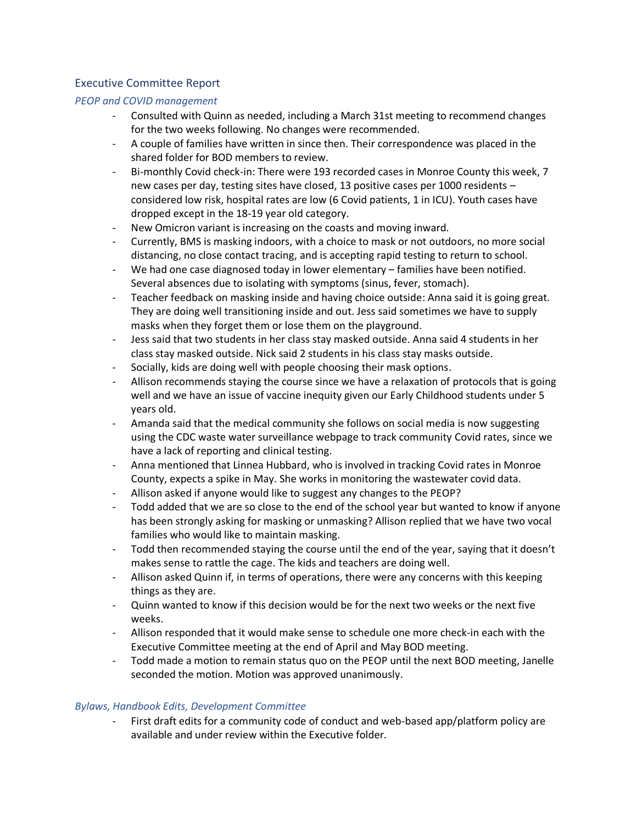## Executive Committee Report

## *PEOP and COVID management*

- Consulted with Quinn as needed, including a March 31st meeting to recommend changes for the two weeks following. No changes were recommended.
- A couple of families have written in since then. Their correspondence was placed in the shared folder for BOD members to review.
- Bi-monthly Covid check-in: There were 193 recorded cases in Monroe County this week, 7 new cases per day, testing sites have closed, 13 positive cases per 1000 residents – considered low risk, hospital rates are low (6 Covid patients, 1 in ICU). Youth cases have dropped except in the 18-19 year old category.
- New Omicron variant is increasing on the coasts and moving inward.
- Currently, BMS is masking indoors, with a choice to mask or not outdoors, no more social distancing, no close contact tracing, and is accepting rapid testing to return to school.
- We had one case diagnosed today in lower elementary families have been notified. Several absences due to isolating with symptoms (sinus, fever, stomach).
- Teacher feedback on masking inside and having choice outside: Anna said it is going great. They are doing well transitioning inside and out. Jess said sometimes we have to supply masks when they forget them or lose them on the playground.
- Jess said that two students in her class stay masked outside. Anna said 4 students in her class stay masked outside. Nick said 2 students in his class stay masks outside.
- Socially, kids are doing well with people choosing their mask options.
- Allison recommends staying the course since we have a relaxation of protocols that is going well and we have an issue of vaccine inequity given our Early Childhood students under 5 years old.
- Amanda said that the medical community she follows on social media is now suggesting using the CDC waste water surveillance webpage to track community Covid rates, since we have a lack of reporting and clinical testing.
- Anna mentioned that Linnea Hubbard, who is involved in tracking Covid rates in Monroe County, expects a spike in May. She works in monitoring the wastewater covid data.
- Allison asked if anyone would like to suggest any changes to the PEOP?
- Todd added that we are so close to the end of the school year but wanted to know if anyone has been strongly asking for masking or unmasking? Allison replied that we have two vocal families who would like to maintain masking.
- Todd then recommended staying the course until the end of the year, saying that it doesn't makes sense to rattle the cage. The kids and teachers are doing well.
- Allison asked Quinn if, in terms of operations, there were any concerns with this keeping things as they are.
- Quinn wanted to know if this decision would be for the next two weeks or the next five weeks.
- Allison responded that it would make sense to schedule one more check-in each with the Executive Committee meeting at the end of April and May BOD meeting.
- Todd made a motion to remain status quo on the PEOP until the next BOD meeting, Janelle seconded the motion. Motion was approved unanimously.

## *Bylaws, Handbook Edits, Development Committee*

- First draft edits for a community code of conduct and web-based app/platform policy are available and under review within the Executive folder.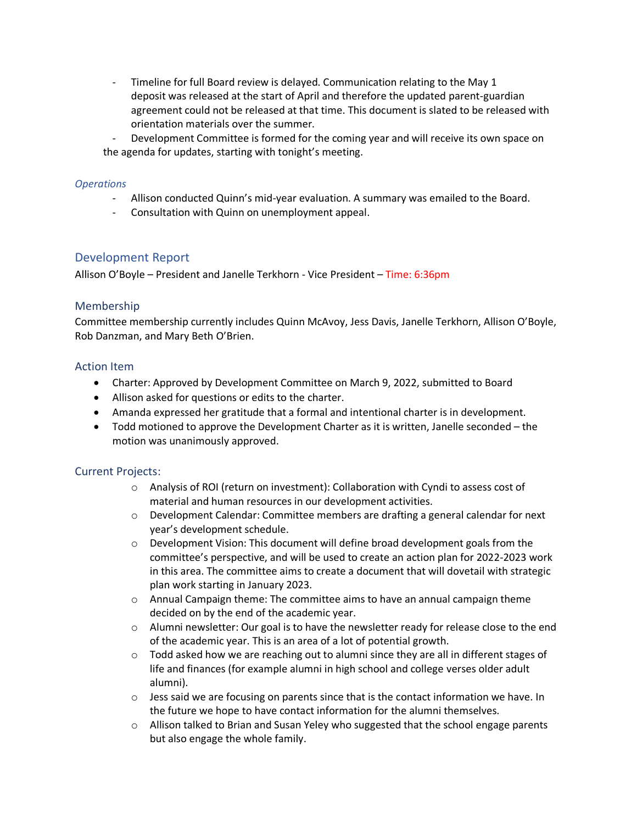- Timeline for full Board review is delayed. Communication relating to the May 1 deposit was released at the start of April and therefore the updated parent-guardian agreement could not be released at that time. This document is slated to be released with orientation materials over the summer.
- Development Committee is formed for the coming year and will receive its own space on the agenda for updates, starting with tonight's meeting.

#### *Operations*

- Allison conducted Quinn's mid-year evaluation. A summary was emailed to the Board.
- Consultation with Quinn on unemployment appeal.

#### Development Report

Allison O'Boyle – President and Janelle Terkhorn - Vice President – Time: 6:36pm

#### Membership

Committee membership currently includes Quinn McAvoy, Jess Davis, Janelle Terkhorn, Allison O'Boyle, Rob Danzman, and Mary Beth O'Brien.

#### Action Item

- Charter: Approved by Development Committee on March 9, 2022, submitted to Board
- Allison asked for questions or edits to the charter.
- Amanda expressed her gratitude that a formal and intentional charter is in development.
- Todd motioned to approve the Development Charter as it is written, Janelle seconded the motion was unanimously approved.

#### Current Projects:

- o Analysis of ROI (return on investment): Collaboration with Cyndi to assess cost of material and human resources in our development activities.
- o Development Calendar: Committee members are drafting a general calendar for next year's development schedule.
- o Development Vision: This document will define broad development goals from the committee's perspective, and will be used to create an action plan for 2022-2023 work in this area. The committee aims to create a document that will dovetail with strategic plan work starting in January 2023.
- $\circ$  Annual Campaign theme: The committee aims to have an annual campaign theme decided on by the end of the academic year.
- o Alumni newsletter: Our goal is to have the newsletter ready for release close to the end of the academic year. This is an area of a lot of potential growth.
- $\circ$  Todd asked how we are reaching out to alumni since they are all in different stages of life and finances (for example alumni in high school and college verses older adult alumni).
- $\circ$  Jess said we are focusing on parents since that is the contact information we have. In the future we hope to have contact information for the alumni themselves.
- o Allison talked to Brian and Susan Yeley who suggested that the school engage parents but also engage the whole family.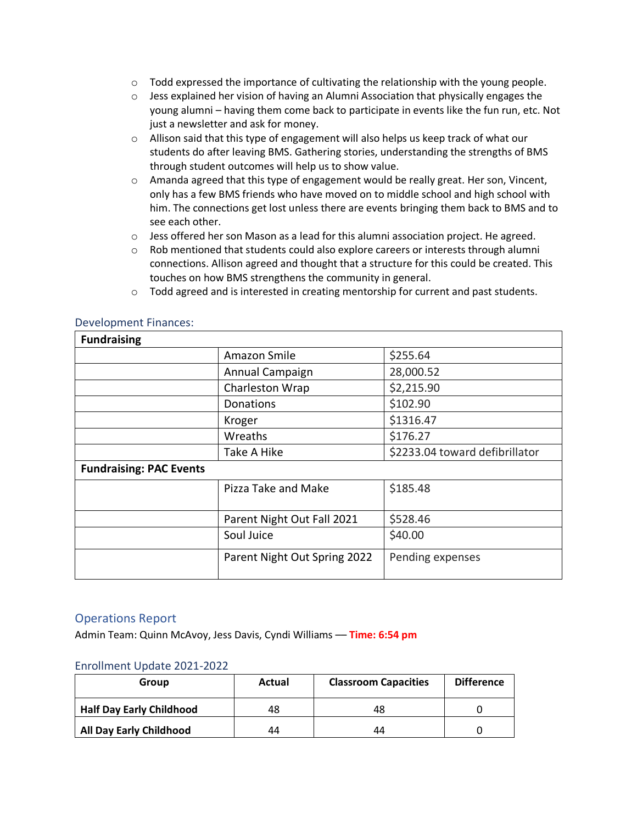- $\circ$  Todd expressed the importance of cultivating the relationship with the young people.
- o Jess explained her vision of having an Alumni Association that physically engages the young alumni – having them come back to participate in events like the fun run, etc. Not just a newsletter and ask for money.
- $\circ$  Allison said that this type of engagement will also helps us keep track of what our students do after leaving BMS. Gathering stories, understanding the strengths of BMS through student outcomes will help us to show value.
- $\circ$  Amanda agreed that this type of engagement would be really great. Her son, Vincent, only has a few BMS friends who have moved on to middle school and high school with him. The connections get lost unless there are events bringing them back to BMS and to see each other.
- o Jess offered her son Mason as a lead for this alumni association project. He agreed.
- $\circ$  Rob mentioned that students could also explore careers or interests through alumni connections. Allison agreed and thought that a structure for this could be created. This touches on how BMS strengthens the community in general.
- $\circ$  Todd agreed and is interested in creating mentorship for current and past students.

#### Development Finances:

| <b>Fundraising</b>             |                              |                                |  |  |
|--------------------------------|------------------------------|--------------------------------|--|--|
|                                | Amazon Smile                 | \$255.64                       |  |  |
|                                | Annual Campaign              | 28,000.52                      |  |  |
|                                | Charleston Wrap              | \$2,215.90                     |  |  |
|                                | Donations                    | \$102.90                       |  |  |
|                                | Kroger                       | \$1316.47                      |  |  |
|                                | Wreaths                      | \$176.27                       |  |  |
|                                | Take A Hike                  | \$2233.04 toward defibrillator |  |  |
| <b>Fundraising: PAC Events</b> |                              |                                |  |  |
|                                | Pizza Take and Make          | \$185.48                       |  |  |
|                                | Parent Night Out Fall 2021   | \$528.46                       |  |  |
|                                | Soul Juice                   | \$40.00                        |  |  |
|                                | Parent Night Out Spring 2022 | Pending expenses               |  |  |

#### Operations Report

Admin Team: Quinn McAvoy, Jess Davis, Cyndi Williams –– **Time: 6:54 pm**

#### Enrollment Update 2021-2022

| Group                           | Actual | <b>Classroom Capacities</b> | <b>Difference</b> |
|---------------------------------|--------|-----------------------------|-------------------|
| <b>Half Day Early Childhood</b> | 48     | 48                          |                   |
| <b>All Day Early Childhood</b>  | 44     | 44                          |                   |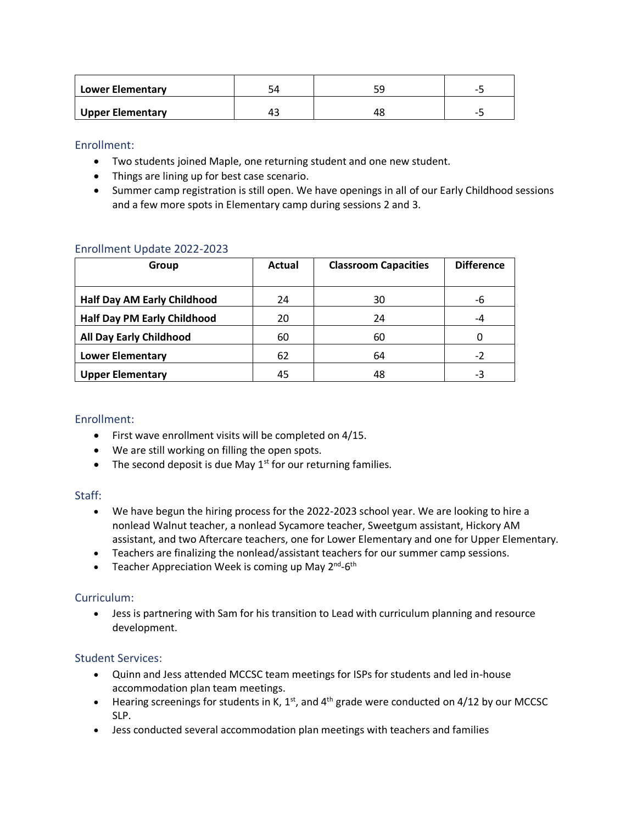| <b>Lower Elementary</b> | ىر  |    | - 1 |
|-------------------------|-----|----|-----|
| <b>Upper Elementary</b> | 45. | 40 |     |

Enrollment:

- Two students joined Maple, one returning student and one new student.
- Things are lining up for best case scenario.
- Summer camp registration is still open. We have openings in all of our Early Childhood sessions and a few more spots in Elementary camp during sessions 2 and 3.

#### Enrollment Update 2022-2023

| Group                              | Actual | <b>Classroom Capacities</b> | <b>Difference</b> |
|------------------------------------|--------|-----------------------------|-------------------|
| <b>Half Day AM Early Childhood</b> | 24     | 30                          | -6                |
| <b>Half Day PM Early Childhood</b> | 20     | 24                          | -4                |
| <b>All Day Early Childhood</b>     | 60     | 60                          |                   |
| <b>Lower Elementary</b>            | 62     | 64                          | $-2$              |
| <b>Upper Elementary</b>            | 45     | 48                          | -3                |

## Enrollment:

- First wave enrollment visits will be completed on 4/15.
- We are still working on filling the open spots.
- The second deposit is due May  $1<sup>st</sup>$  for our returning families.

#### Staff:

- We have begun the hiring process for the 2022-2023 school year. We are looking to hire a nonlead Walnut teacher, a nonlead Sycamore teacher, Sweetgum assistant, Hickory AM assistant, and two Aftercare teachers, one for Lower Elementary and one for Upper Elementary.
- Teachers are finalizing the nonlead/assistant teachers for our summer camp sessions.
- Teacher Appreciation Week is coming up May 2<sup>nd</sup>-6<sup>th</sup>

## Curriculum:

• Jess is partnering with Sam for his transition to Lead with curriculum planning and resource development.

## Student Services:

- Quinn and Jess attended MCCSC team meetings for ISPs for students and led in-house accommodation plan team meetings.
- Hearing screenings for students in K,  $1<sup>st</sup>$ , and  $4<sup>th</sup>$  grade were conducted on 4/12 by our MCCSC SLP.
- Jess conducted several accommodation plan meetings with teachers and families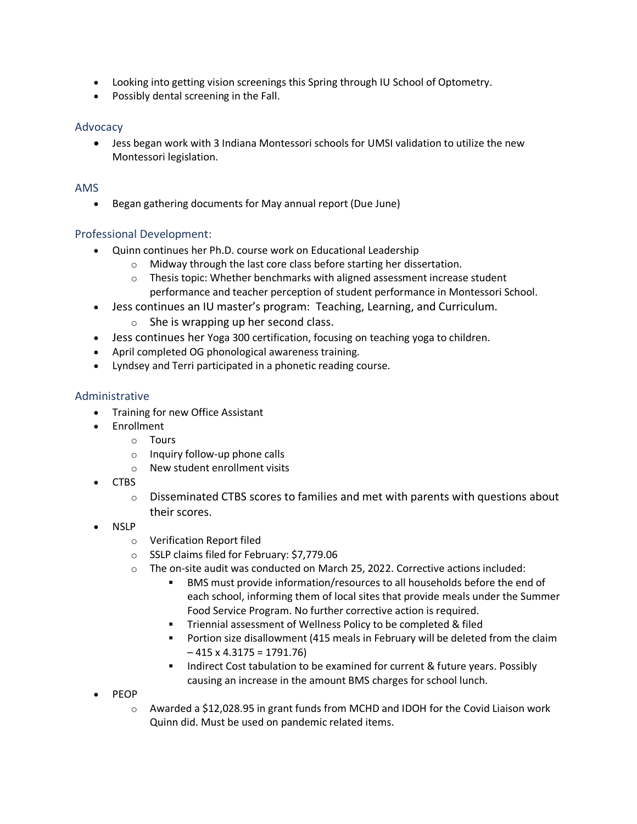- Looking into getting vision screenings this Spring through IU School of Optometry.
- Possibly dental screening in the Fall.

## Advocacy

• Jess began work with 3 Indiana Montessori schools for UMSI validation to utilize the new Montessori legislation.

#### AMS

• Began gathering documents for May annual report (Due June)

## Professional Development:

- Quinn continues her Ph.D. course work on Educational Leadership
	- o Midway through the last core class before starting her dissertation.
	- o Thesis topic: Whether benchmarks with aligned assessment increase student performance and teacher perception of student performance in Montessori School.
- Jess continues an IU master's program: Teaching, Learning, and Curriculum.
	- $\circ$  She is wrapping up her second class.
- Jess continues her Yoga 300 certification, focusing on teaching yoga to children.
- April completed OG phonological awareness training.
- Lyndsey and Terri participated in a phonetic reading course.

#### Administrative

- Training for new Office Assistant
- Enrollment
	- o Tours
	- o Inquiry follow-up phone calls
	- o New student enrollment visits
- CTBS
	- $\circ$  Disseminated CTBS scores to families and met with parents with questions about their scores.
- NSLP
	- o Verification Report filed
	- o SSLP claims filed for February: \$7,779.06
	- o The on-site audit was conducted on March 25, 2022. Corrective actions included:
		- BMS must provide information/resources to all households before the end of each school, informing them of local sites that provide meals under the Summer Food Service Program. No further corrective action is required.
		- **EXECT** Triennial assessment of Wellness Policy to be completed & filed
		- Portion size disallowment (415 meals in February will be deleted from the claim  $-415 \times 4.3175 = 1791.76$
		- **EXECOSE THE INDITE:** Indirect Cost tabulation to be examined for current & future years. Possibly causing an increase in the amount BMS charges for school lunch.
- PEOP
	- o Awarded a \$12,028.95 in grant funds from MCHD and IDOH for the Covid Liaison work Quinn did. Must be used on pandemic related items.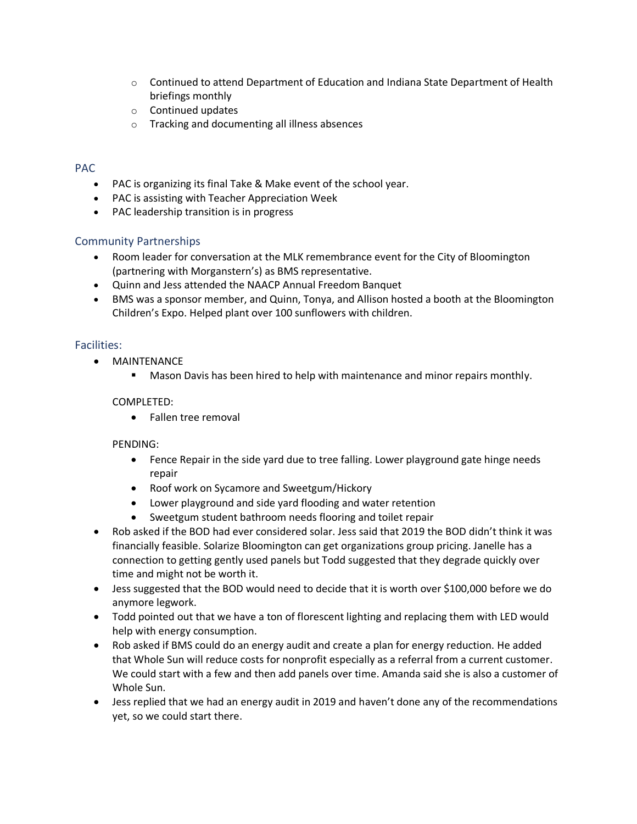- $\circ$  Continued to attend Department of Education and Indiana State Department of Health briefings monthly
- o Continued updates
- o Tracking and documenting all illness absences

## PAC

- PAC is organizing its final Take & Make event of the school year.
- PAC is assisting with Teacher Appreciation Week
- PAC leadership transition is in progress

#### Community Partnerships

- Room leader for conversation at the MLK remembrance event for the City of Bloomington (partnering with Morganstern's) as BMS representative.
- Quinn and Jess attended the NAACP Annual Freedom Banquet
- BMS was a sponsor member, and Quinn, Tonya, and Allison hosted a booth at the Bloomington Children's Expo. Helped plant over 100 sunflowers with children.

#### Facilities:

- MAINTENANCE
	- **E** Mason Davis has been hired to help with maintenance and minor repairs monthly.

#### COMPLETED:

• Fallen tree removal

#### PENDING:

- Fence Repair in the side yard due to tree falling. Lower playground gate hinge needs repair
- Roof work on Sycamore and Sweetgum/Hickory
- Lower playground and side yard flooding and water retention
- Sweetgum student bathroom needs flooring and toilet repair
- Rob asked if the BOD had ever considered solar. Jess said that 2019 the BOD didn't think it was financially feasible. Solarize Bloomington can get organizations group pricing. Janelle has a connection to getting gently used panels but Todd suggested that they degrade quickly over time and might not be worth it.
- Jess suggested that the BOD would need to decide that it is worth over \$100,000 before we do anymore legwork.
- Todd pointed out that we have a ton of florescent lighting and replacing them with LED would help with energy consumption.
- Rob asked if BMS could do an energy audit and create a plan for energy reduction. He added that Whole Sun will reduce costs for nonprofit especially as a referral from a current customer. We could start with a few and then add panels over time. Amanda said she is also a customer of Whole Sun.
- Jess replied that we had an energy audit in 2019 and haven't done any of the recommendations yet, so we could start there.